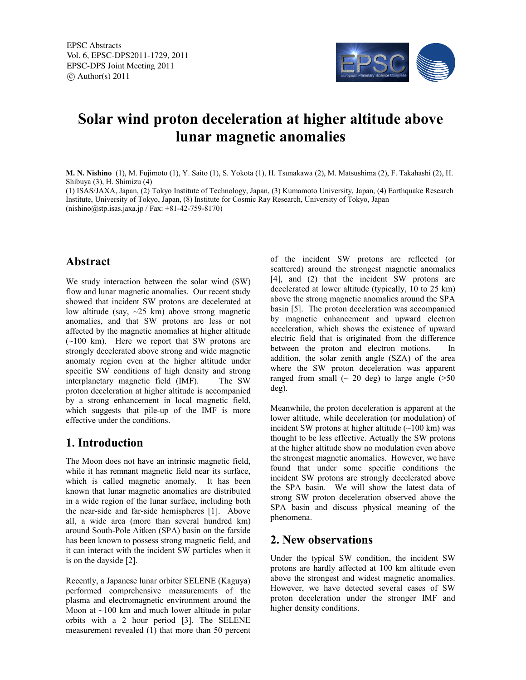

# **Solar wind proton deceleration at higher altitude above lunar magnetic anomalies**

**M. N. Nishino** (1), M. Fujimoto (1), Y. Saito (1), S. Yokota (1), H. Tsunakawa (2), M. Matsushima (2), F. Takahashi (2), H. Shibuya (3), H. Shimizu (4)

(1) ISAS/JAXA, Japan, (2) Tokyo Institute of Technology, Japan, (3) Kumamoto University, Japan, (4) Earthquake Research Institute, University of Tokyo, Japan, (8) Institute for Cosmic Ray Research, University of Tokyo, Japan (nishino@stp.isas.jaxa.jp / Fax: +81-42-759-8170)

#### **Abstract**

We study interaction between the solar wind (SW) flow and lunar magnetic anomalies. Our recent study showed that incident SW protons are decelerated at low altitude (say, ~25 km) above strong magnetic anomalies, and that SW protons are less or not affected by the magnetic anomalies at higher altitude  $(-100 \text{ km})$ . Here we report that SW protons are strongly decelerated above strong and wide magnetic anomaly region even at the higher altitude under specific SW conditions of high density and strong interplanetary magnetic field (IMF). The SW proton deceleration at higher altitude is accompanied by a strong enhancement in local magnetic field, which suggests that pile-up of the IMF is more effective under the conditions.

# **1. Introduction**

The Moon does not have an intrinsic magnetic field, while it has remnant magnetic field near its surface, which is called magnetic anomaly. It has been known that lunar magnetic anomalies are distributed in a wide region of the lunar surface, including both the near-side and far-side hemispheres [1]. Above all, a wide area (more than several hundred km) around South-Pole Aitken (SPA) basin on the farside has been known to possess strong magnetic field, and it can interact with the incident SW particles when it is on the dayside [2].

Recently, a Japanese lunar orbiter SELENE (Kaguya) performed comprehensive measurements of the plasma and electromagnetic environment around the Moon at  $\sim$ 100 km and much lower altitude in polar orbits with a 2 hour period [3]. The SELENE measurement revealed (1) that more than 50 percent of the incident SW protons are reflected (or scattered) around the strongest magnetic anomalies [4], and (2) that the incident SW protons are decelerated at lower altitude (typically, 10 to 25 km) above the strong magnetic anomalies around the SPA basin [5]. The proton deceleration was accompanied by magnetic enhancement and upward electron acceleration, which shows the existence of upward electric field that is originated from the difference between the proton and electron motions. In addition, the solar zenith angle (SZA) of the area where the SW proton deceleration was apparent ranged from small  $\sim$  20 deg) to large angle ( $>50$ deg).

Meanwhile, the proton deceleration is apparent at the lower altitude, while deceleration (or modulation) of incident SW protons at higher altitude  $(\sim 100 \text{ km})$  was thought to be less effective. Actually the SW protons at the higher altitude show no modulation even above the strongest magnetic anomalies. However, we have found that under some specific conditions the incident SW protons are strongly decelerated above the SPA basin. We will show the latest data of strong SW proton deceleration observed above the SPA basin and discuss physical meaning of the phenomena.

#### **2. New observations**

Under the typical SW condition, the incident SW protons are hardly affected at 100 km altitude even above the strongest and widest magnetic anomalies. However, we have detected several cases of SW proton deceleration under the stronger IMF and higher density conditions.